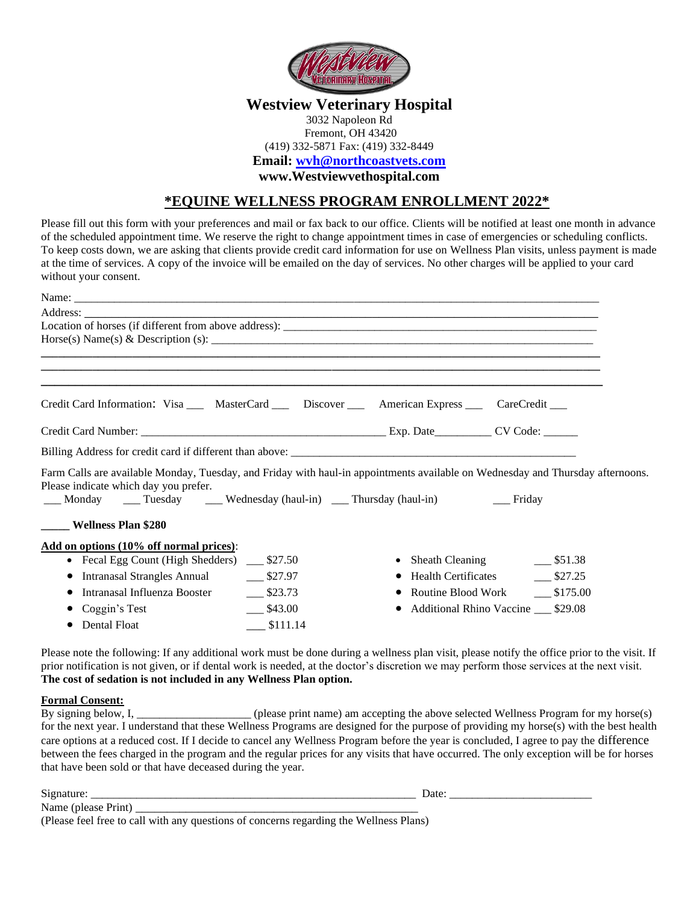

### **Westview Veterinary Hospital**

### 3032 Napoleon Rd Fremont, OH 43420 (419) 332-5871 Fax: (419) 332-8449 **Email: [wvh@northcoastvets.com](mailto:wvh@northcoastvets.com)**

**www.Westviewvethospital.com**

### **\*EQUINE WELLNESS PROGRAM ENROLLMENT 2022\***

Please fill out this form with your preferences and mail or fax back to our office. Clients will be notified at least one month in advance of the scheduled appointment time. We reserve the right to change appointment times in case of emergencies or scheduling conflicts. To keep costs down, we are asking that clients provide credit card information for use on Wellness Plan visits, unless payment is made at the time of services. A copy of the invoice will be emailed on the day of services. No other charges will be applied to your card without your consent.

| Address:                                                                                                                                                                                                                                                         |                                                              |                                        |
|------------------------------------------------------------------------------------------------------------------------------------------------------------------------------------------------------------------------------------------------------------------|--------------------------------------------------------------|----------------------------------------|
|                                                                                                                                                                                                                                                                  |                                                              |                                        |
|                                                                                                                                                                                                                                                                  |                                                              |                                        |
|                                                                                                                                                                                                                                                                  |                                                              |                                        |
|                                                                                                                                                                                                                                                                  |                                                              |                                        |
| Credit Card Information: Visa ___ MasterCard ___ Discover ___ American Express ___ CareCredit ___                                                                                                                                                                |                                                              |                                        |
|                                                                                                                                                                                                                                                                  |                                                              |                                        |
|                                                                                                                                                                                                                                                                  |                                                              |                                        |
| Farm Calls are available Monday, Tuesday, and Friday with haul-in appointments available on Wednesday and Thursday afternoons.<br>Please indicate which day you prefer.<br>___ Monday ____ Tuesday ____ Wednesday (haul-in) ____ Thursday (haul-in) _____ Friday |                                                              |                                        |
| Wellness Plan \$280                                                                                                                                                                                                                                              |                                                              |                                        |
| Add on options (10% off normal prices):                                                                                                                                                                                                                          |                                                              |                                        |
| • Fecal Egg Count (High Shedders) ___ \$27.50                                                                                                                                                                                                                    | • Sheath Cleaning $\qquad \qquad \boxed{\phantom{2}$ \$51.38 |                                        |
| $\bullet$                                                                                                                                                                                                                                                        |                                                              | Health Certificates 1827.25            |
| $-$ \$23.73<br>Intranasal Influenza Booster                                                                                                                                                                                                                      |                                                              | Routine Blood Work _______ \$175.00    |
| $-$ \$43.00<br>Coggin's Test                                                                                                                                                                                                                                     |                                                              | • Additional Rhino Vaccine ___ \$29.08 |
| Dental Float<br>$\frac{\$111.14}{\$}$                                                                                                                                                                                                                            |                                                              |                                        |

Please note the following: If any additional work must be done during a wellness plan visit, please notify the office prior to the visit. If prior notification is not given, or if dental work is needed, at the doctor's discretion we may perform those services at the next visit. **The cost of sedation is not included in any Wellness Plan option.**

#### **Formal Consent:**

By signing below, I, \_\_\_\_\_\_\_\_\_\_\_\_\_\_\_\_\_\_\_\_ (please print name) am accepting the above selected Wellness Program for my horse(s) for the next year. I understand that these Wellness Programs are designed for the purpose of providing my horse(s) with the best health care options at a reduced cost. If I decide to cancel any Wellness Program before the year is concluded, I agree to pay the difference between the fees charged in the program and the regular prices for any visits that have occurred. The only exception will be for horses that have been sold or that have deceased during the year.

Signature: \_\_\_\_\_\_\_\_\_\_\_\_\_\_\_\_\_\_\_\_\_\_\_\_\_\_\_\_\_\_\_\_\_\_\_\_\_\_\_\_\_\_\_\_\_\_\_\_\_\_\_\_\_\_\_\_\_ Date: \_\_\_\_\_\_\_\_\_\_\_\_\_\_\_\_\_\_\_\_\_\_\_\_\_

|  |  | (Please feel free to call with any questions of concerns regarding the Wellness Plans) |  |  |
|--|--|----------------------------------------------------------------------------------------|--|--|
|  |  |                                                                                        |  |  |
|  |  |                                                                                        |  |  |

Name (please Print) \_\_\_\_\_\_\_\_\_\_\_\_\_\_\_\_\_\_\_\_\_\_\_\_\_\_\_\_\_\_\_\_\_\_\_\_\_\_\_\_\_\_\_\_\_